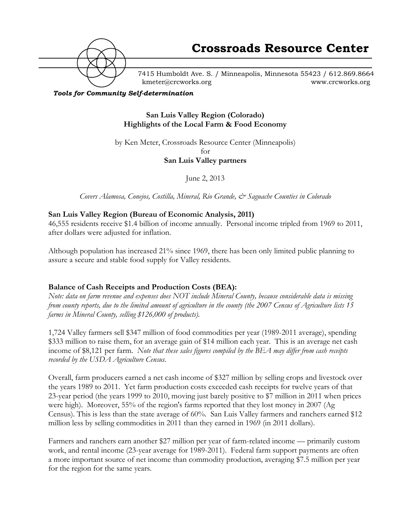

7415 Humboldt Ave. S. / Minneapolis, Minnesota 55423 / 612.869.8664 kmeter@crcworks.org www.crcworks.org

#### *Tools for Community Self-determination*

**San Luis Valley Region (Colorado) Highlights of the Local Farm & Food Economy**

by Ken Meter, Crossroads Resource Center (Minneapolis) for **San Luis Valley partners**

June 2, 2013

*Covers Alamosa, Conejos, Costilla, Mineral, Rio Grande, & Saguache Counties in Colorado*

## **San Luis Valley Region (Bureau of Economic Analysis, 2011)**

46,555 residents receive \$1.4 billion of income annually. Personal income tripled from 1969 to 2011, after dollars were adjusted for inflation.

Although population has increased 21% since 1969, there has been only limited public planning to assure a secure and stable food supply for Valley residents.

## **Balance of Cash Receipts and Production Costs (BEA):**

*Note: data on farm revenue and expenses does NOT include Mineral County, because considerable data is missing from county reports, due to the limited amount of agriculture in the county (the 2007 Census of Agriculture lists 15 farms in Mineral County, selling \$126,000 of products).*

1,724 Valley farmers sell \$347 million of food commodities per year (1989-2011 average), spending \$333 million to raise them, for an average gain of \$14 million each year. This is an average net cash income of \$8,121 per farm. *Note that these sales figures compiled by the BEA may differ from cash receipts recorded by the USDA Agriculture Census.*

Overall, farm producers earned a net cash income of \$327 million by selling crops and livestock over the years 1989 to 2011. Yet farm production costs exceeded cash receipts for twelve years of that 23-year period (the years 1999 to 2010, moving just barely positive to \$7 million in 2011 when prices were high). Moreover, 55% of the region's farms reported that they lost money in 2007 (Ag Census). This is less than the state average of 60%. San Luis Valley farmers and ranchers earned \$12 million less by selling commodities in 2011 than they earned in 1969 (in 2011 dollars).

Farmers and ranchers earn another \$27 million per year of farm-related income — primarily custom work, and rental income (23-year average for 1989-2011). Federal farm support payments are often a more important source of net income than commodity production, averaging \$7.5 million per year for the region for the same years.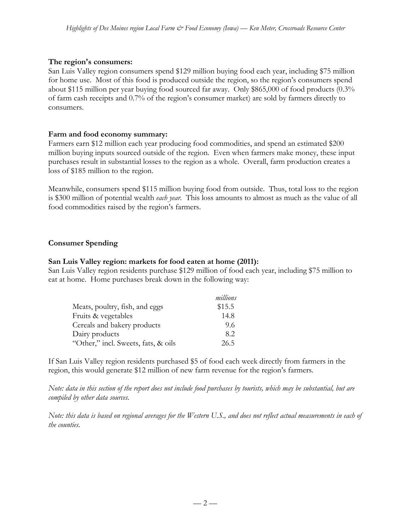## **The region's consumers:**

San Luis Valley region consumers spend \$129 million buying food each year, including \$75 million for home use. Most of this food is produced outside the region, so the region's consumers spend about \$115 million per year buying food sourced far away. Only \$865,000 of food products (0.3% of farm cash receipts and 0.7% of the region's consumer market) are sold by farmers directly to consumers.

#### **Farm and food economy summary:**

Farmers earn \$12 million each year producing food commodities, and spend an estimated \$200 million buying inputs sourced outside of the region. Even when farmers make money, these input purchases result in substantial losses to the region as a whole. Overall, farm production creates a loss of \$185 million to the region.

Meanwhile, consumers spend \$115 million buying food from outside. Thus, total loss to the region is \$300 million of potential wealth *each year*. This loss amounts to almost as much as the value of all food commodities raised by the region's farmers.

## **Consumer Spending**

#### **San Luis Valley region: markets for food eaten at home (2011):**

San Luis Valley region residents purchase \$129 million of food each year, including \$75 million to eat at home. Home purchases break down in the following way:

|                                     | millions |
|-------------------------------------|----------|
| Meats, poultry, fish, and eggs      | \$15.5   |
| Fruits & vegetables                 | 14.8     |
| Cereals and bakery products         | 9.6      |
| Dairy products                      | 8.2      |
| "Other," incl. Sweets, fats, & oils | 26.5     |

If San Luis Valley region residents purchased \$5 of food each week directly from farmers in the region, this would generate \$12 million of new farm revenue for the region's farmers.

*Note: data in this section of the report does not include food purchases by tourists, which may be substantial, but are compiled by other data sources.*

*Note: this data is based on regional averages for the Western U.S., and does not reflect actual measurements in each of the counties.*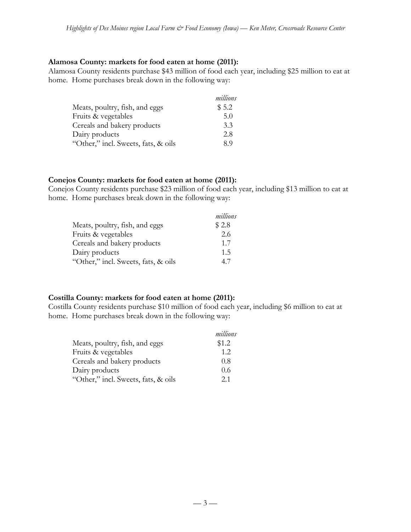#### **Alamosa County: markets for food eaten at home (2011):**

Alamosa County residents purchase \$43 million of food each year, including \$25 million to eat at home. Home purchases break down in the following way:

|                                     | millions |
|-------------------------------------|----------|
| Meats, poultry, fish, and eggs      | \$5.2    |
| Fruits & vegetables                 | 5.0      |
| Cereals and bakery products         | 3.3      |
| Dairy products                      | 2.8      |
| "Other," incl. Sweets, fats, & oils | 89       |

## **Conejos County: markets for food eaten at home (2011):**

Conejos County residents purchase \$23 million of food each year, including \$13 million to eat at home. Home purchases break down in the following way:

|                                     | millions |
|-------------------------------------|----------|
| Meats, poultry, fish, and eggs      | \$2.8    |
| Fruits & vegetables                 | 2.6      |
| Cereals and bakery products         | 1.7      |
| Dairy products                      | 1.5      |
| "Other," incl. Sweets, fats, & oils | 47       |

## **Costilla County: markets for food eaten at home (2011):**

Costilla County residents purchase \$10 million of food each year, including \$6 million to eat at home. Home purchases break down in the following way:

|                                     | millions |
|-------------------------------------|----------|
| Meats, poultry, fish, and eggs      | \$1.2    |
| Fruits & vegetables                 | 12       |
| Cereals and bakery products         | 0.8      |
| Dairy products                      | 0.6      |
| "Other," incl. Sweets, fats, & oils | 2.1      |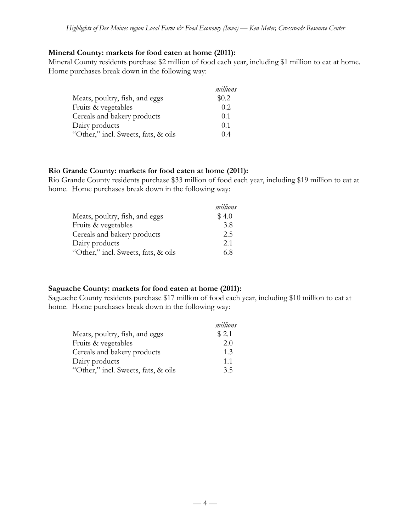## **Mineral County: markets for food eaten at home (2011):**

Mineral County residents purchase \$2 million of food each year, including \$1 million to eat at home. Home purchases break down in the following way:

|                                     | millions |
|-------------------------------------|----------|
| Meats, poultry, fish, and eggs      | \$0.2\$  |
| Fruits & vegetables                 | 0.2.     |
| Cereals and bakery products         | 0.1      |
| Dairy products                      | 0.1      |
| "Other," incl. Sweets, fats, & oils | 04       |

#### **Rio Grande County: markets for food eaten at home (2011):**

Rio Grande County residents purchase \$33 million of food each year, including \$19 million to eat at home. Home purchases break down in the following way:

|                                     | millions |
|-------------------------------------|----------|
| Meats, poultry, fish, and eggs      | \$4.0    |
| Fruits & vegetables                 | 3.8      |
| Cereals and bakery products         | 2.5      |
| Dairy products                      | 2.1      |
| "Other," incl. Sweets, fats, & oils | 6.8      |

## **Saguache County: markets for food eaten at home (2011):**

Saguache County residents purchase \$17 million of food each year, including \$10 million to eat at home. Home purchases break down in the following way:

|                                     | millions |
|-------------------------------------|----------|
| Meats, poultry, fish, and eggs      | \$2.1    |
| Fruits & vegetables                 | 2.0      |
| Cereals and bakery products         | 1.3      |
| Dairy products                      | 1.1      |
| "Other," incl. Sweets, fats, & oils | 3.5      |